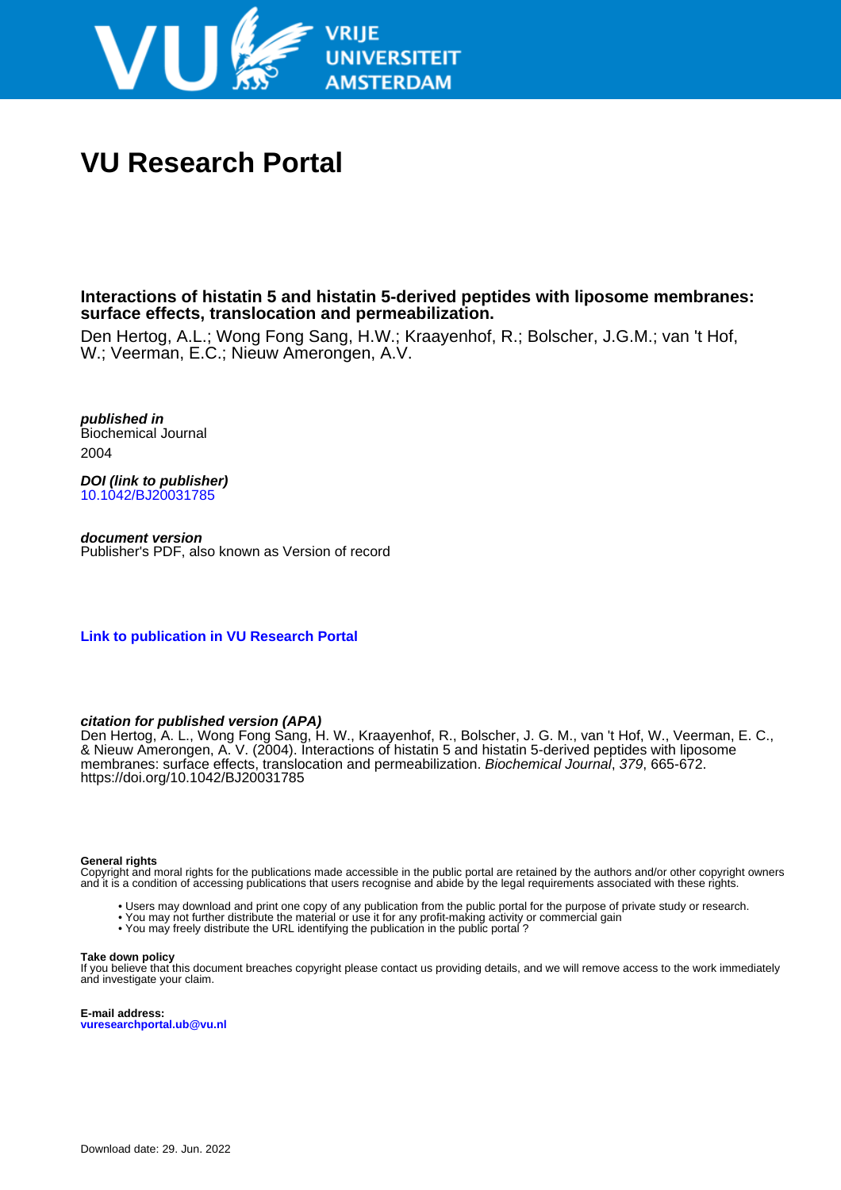

# **VU Research Portal**

**Interactions of histatin 5 and histatin 5-derived peptides with liposome membranes: surface effects, translocation and permeabilization.**

Den Hertog, A.L.; Wong Fong Sang, H.W.; Kraayenhof, R.; Bolscher, J.G.M.; van 't Hof, W.; Veerman, E.C.; Nieuw Amerongen, A.V.

**published in** Biochemical Journal 2004

**DOI (link to publisher)** [10.1042/BJ20031785](https://doi.org/10.1042/BJ20031785)

**document version** Publisher's PDF, also known as Version of record

**[Link to publication in VU Research Portal](https://research.vu.nl/en/publications/51198ffe-0093-4aab-b25d-d3cec94138b2)**

# **citation for published version (APA)**

Den Hertog, A. L., Wong Fong Sang, H. W., Kraayenhof, R., Bolscher, J. G. M., van 't Hof, W., Veerman, E. C., & Nieuw Amerongen, A. V. (2004). Interactions of histatin 5 and histatin 5-derived peptides with liposome membranes: surface effects, translocation and permeabilization. Biochemical Journal, 379, 665-672. <https://doi.org/10.1042/BJ20031785>

## **General rights**

Copyright and moral rights for the publications made accessible in the public portal are retained by the authors and/or other copyright owners and it is a condition of accessing publications that users recognise and abide by the legal requirements associated with these rights.

- Users may download and print one copy of any publication from the public portal for the purpose of private study or research.
- You may not further distribute the material or use it for any profit-making activity or commercial gain
- You may freely distribute the URL identifying the publication in the public portal ?

#### **Take down policy**

If you believe that this document breaches copyright please contact us providing details, and we will remove access to the work immediately and investigate your claim.

**E-mail address: vuresearchportal.ub@vu.nl**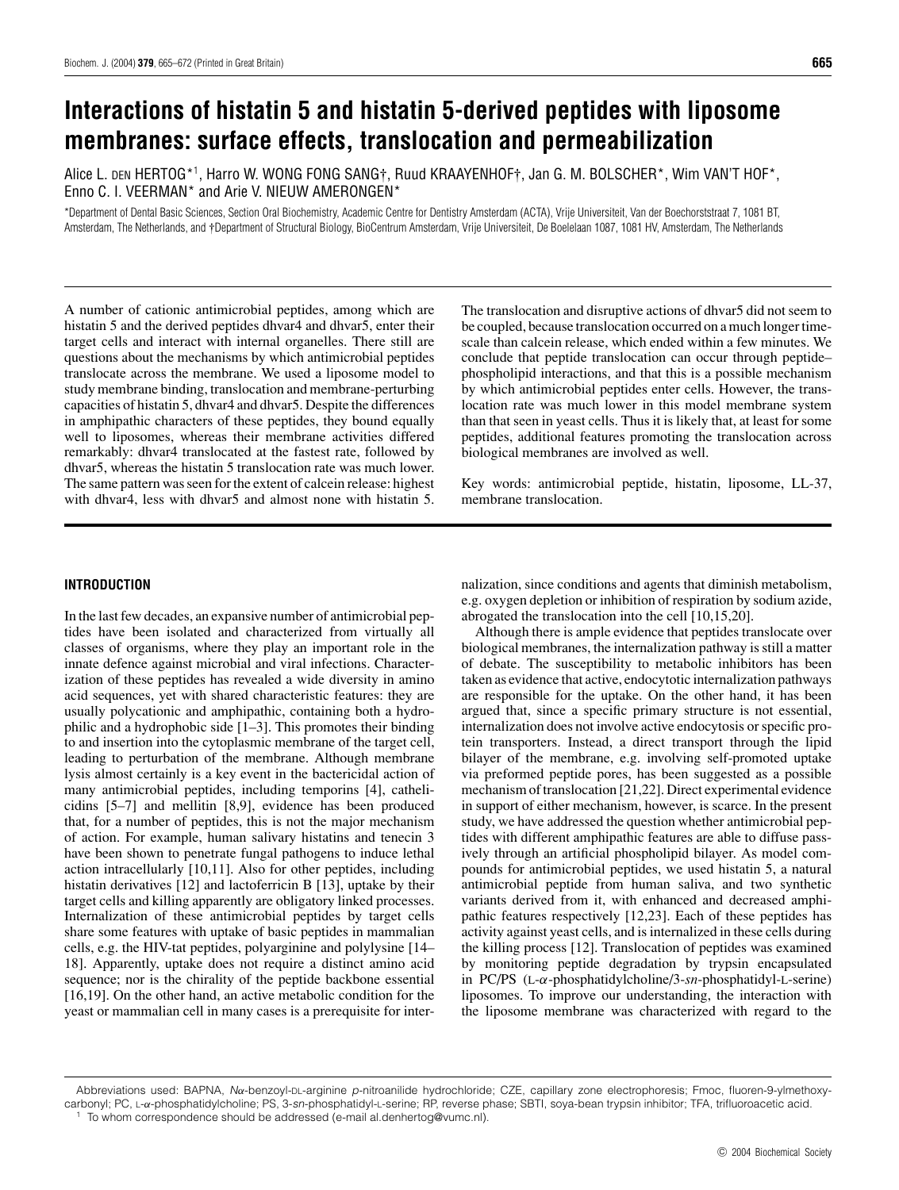# **Interactions of histatin 5 and histatin 5-derived peptides with liposome membranes: surface effects, translocation and permeabilization**

Alice L. DEN HERTOG\*1, Harro W. WONG FONG SANG†, Ruud KRAAYENHOF†, Jan G. M. BOLSCHER\*, Wim VAN'T HOF\*,<br>E Enno C. I. VEERMAN\* and Arie V. NIEUW AMERONGEN\*

\*Department of Dental Basic Sciences, Section Oral Biochemistry, Academic Centre for Dentistry Amsterdam (ACTA), Vrije Universiteit, Van der Boechorststraat 7, 1081 BT, Amsterdam, The Netherlands, and †Department of Structural Biology, BioCentrum Amsterdam, Vrije Universiteit, De Boelelaan 1087, 1081 HV, Amsterdam, The Netherlands

A number of cationic antimicrobial peptides, among which are histatin 5 and the derived peptides dhvar4 and dhvar5, enter their target cells and interact with internal organelles. There still are questions about the mechanisms by which antimicrobial peptides translocate across the membrane. We used a liposome model to study membrane binding, translocation and membrane-perturbing capacities of histatin 5, dhvar4 and dhvar5. Despite the differences in amphipathic characters of these peptides, they bound equally well to liposomes, whereas their membrane activities differed remarkably: dhvar4 translocated at the fastest rate, followed by dhvar5, whereas the histatin 5 translocation rate was much lower. The same pattern was seen for the extent of calcein release: highest with dhvar4, less with dhvar5 and almost none with histatin 5.

The translocation and disruptive actions of dhvar5 did not seem to be coupled, because translocation occurred on a much longer timescale than calcein release, which ended within a few minutes. We conclude that peptide translocation can occur through peptide– phospholipid interactions, and that this is a possible mechanism by which antimicrobial peptides enter cells. However, the translocation rate was much lower in this model membrane system than that seen in yeast cells. Thus it is likely that, at least for some peptides, additional features promoting the translocation across biological membranes are involved as well.

Key words: antimicrobial peptide, histatin, liposome, LL-37, membrane translocation.

# **INTRODUCTION**

In the last few decades, an expansive number of antimicrobial peptides have been isolated and characterized from virtually all classes of organisms, where they play an important role in the innate defence against microbial and viral infections. Characterization of these peptides has revealed a wide diversity in amino acid sequences, yet with shared characteristic features: they are usually polycationic and amphipathic, containing both a hydrophilic and a hydrophobic side [1–3]. This promotes their binding to and insertion into the cytoplasmic membrane of the target cell, leading to perturbation of the membrane. Although membrane lysis almost certainly is a key event in the bactericidal action of many antimicrobial peptides, including temporins [4], cathelicidins [5–7] and mellitin [8,9], evidence has been produced that, for a number of peptides, this is not the major mechanism of action. For example, human salivary histatins and tenecin 3 have been shown to penetrate fungal pathogens to induce lethal action intracellularly [10,11]. Also for other peptides, including histatin derivatives [12] and lactoferricin B [13], uptake by their target cells and killing apparently are obligatory linked processes. Internalization of these antimicrobial peptides by target cells share some features with uptake of basic peptides in mammalian cells, e.g. the HIV-tat peptides, polyarginine and polylysine [14– 18]. Apparently, uptake does not require a distinct amino acid sequence; nor is the chirality of the peptide backbone essential [16,19]. On the other hand, an active metabolic condition for the yeast or mammalian cell in many cases is a prerequisite for internalization, since conditions and agents that diminish metabolism, e.g. oxygen depletion or inhibition of respiration by sodium azide, abrogated the translocation into the cell [10,15,20].

Although there is ample evidence that peptides translocate over biological membranes, the internalization pathway is still a matter of debate. The susceptibility to metabolic inhibitors has been taken as evidence that active, endocytotic internalization pathways are responsible for the uptake. On the other hand, it has been argued that, since a specific primary structure is not essential, internalization does not involve active endocytosis or specific protein transporters. Instead, a direct transport through the lipid bilayer of the membrane, e.g. involving self-promoted uptake via preformed peptide pores, has been suggested as a possible mechanism of translocation [21,22]. Direct experimental evidence in support of either mechanism, however, is scarce. In the present study, we have addressed the question whether antimicrobial peptides with different amphipathic features are able to diffuse passively through an artificial phospholipid bilayer. As model compounds for antimicrobial peptides, we used histatin 5, a natural antimicrobial peptide from human saliva, and two synthetic variants derived from it, with enhanced and decreased amphipathic features respectively [12,23]. Each of these peptides has activity against yeast cells, and is internalized in these cells during the killing process [12]. Translocation of peptides was examined by monitoring peptide degradation by trypsin encapsulated in PC/PS (L-*α*-phosphatidylcholine/3-*sn*-phosphatidyl-L-serine) liposomes. To improve our understanding, the interaction with the liposome membrane was characterized with regard to the

Abbreviations used: BAPNA, N*α*-benzoyl-DL-arginine p-nitroanilide hydrochloride; CZE, capillary zone electrophoresis; Fmoc, fluoren-9-ylmethoxycarbonyl; PC, L-*α*-phosphatidylcholine; PS, 3-sn-phosphatidyl-L-serine; RP, reverse phase; SBTI, soya-bean trypsin inhibitor; TFA, trifluoroacetic acid. To whom correspondence should be addressed (e-mail al.denhertog@vumc.nl).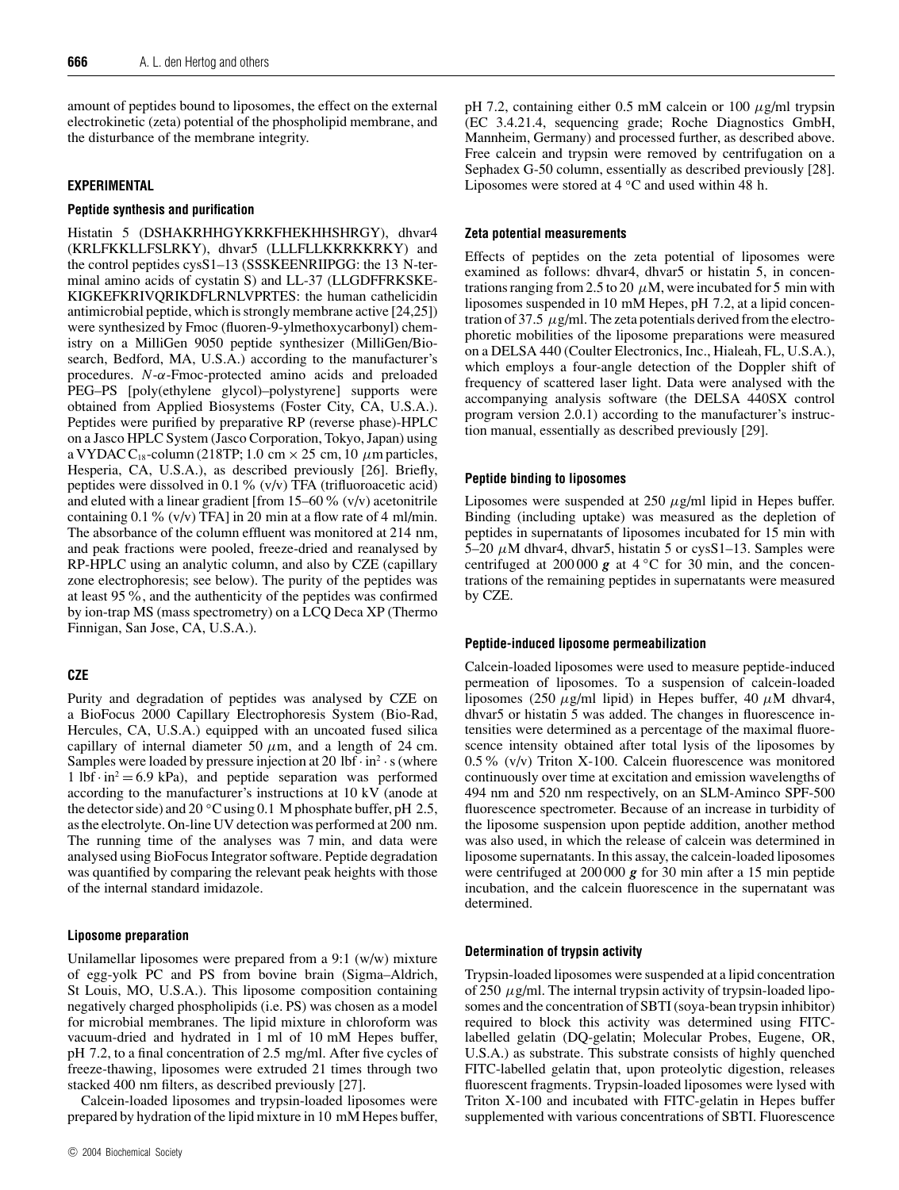amount of peptides bound to liposomes, the effect on the external electrokinetic (zeta) potential of the phospholipid membrane, and the disturbance of the membrane integrity.

# **EXPERIMENTAL**

# **Peptide synthesis and purification**

Histatin 5 (DSHAKRHHGYKRKFHEKHHSHRGY), dhvar4 (KRLFKKLLFSLRKY), dhvar5 (LLLFLLKKRKKRKY) and the control peptides cysS1–13 (SSSKEENRIIPGG: the 13 N-terminal amino acids of cystatin S) and LL-37 (LLGDFFRKSKE-KIGKEFKRIVQRIKDFLRNLVPRTES: the human cathelicidin antimicrobial peptide, which is strongly membrane active [24,25]) were synthesized by Fmoc (fluoren-9-ylmethoxycarbonyl) chemistry on a MilliGen 9050 peptide synthesizer (MilliGen/Biosearch, Bedford, MA, U.S.A.) according to the manufacturer's procedures. *N*-*α*-Fmoc-protected amino acids and preloaded PEG–PS [poly(ethylene glycol)–polystyrene] supports were obtained from Applied Biosystems (Foster City, CA, U.S.A.). Peptides were purified by preparative RP (reverse phase)-HPLC on a Jasco HPLC System (Jasco Corporation, Tokyo, Japan) using a VYDAC C<sub>18</sub>-column (218TP; 1.0 cm  $\times$  25 cm, 10  $\mu$ m particles, Hesperia, CA, U.S.A.), as described previously [26]. Briefly, peptides were dissolved in 0.1 %  $(v/v)$  TFA (trifluoroacetic acid) and eluted with a linear gradient [from 15–60  $\%$  (v/v) acetonitrile containing  $0.1\%$  (v/v) TFA] in 20 min at a flow rate of 4 ml/min. The absorbance of the column effluent was monitored at 214 nm, and peak fractions were pooled, freeze-dried and reanalysed by RP-HPLC using an analytic column, and also by CZE (capillary zone electrophoresis; see below). The purity of the peptides was at least 95%, and the authenticity of the peptides was confirmed by ion-trap MS (mass spectrometry) on a LCQ Deca XP (Thermo Finnigan, San Jose, CA, U.S.A.).

# **CZE**

Purity and degradation of peptides was analysed by CZE on a BioFocus 2000 Capillary Electrophoresis System (Bio-Rad, Hercules, CA, U.S.A.) equipped with an uncoated fused silica capillary of internal diameter 50  $\mu$ m, and a length of 24 cm. Samples were loaded by pressure injection at 20 lbf  $\cdot$  in<sup>2</sup>  $\cdot$  s (where 1 lbf  $\cdot$  in<sup>2</sup> = 6.9 kPa), and peptide separation was performed according to the manufacturer's instructions at 10 kV (anode at the detector side) and 20 *◦*C using 0.1 M phosphate buffer, pH 2.5, as the electrolyte. On-line UV detection was performed at 200 nm. The running time of the analyses was 7 min, and data were analysed using BioFocus Integrator software. Peptide degradation was quantified by comparing the relevant peak heights with those of the internal standard imidazole.

#### **Liposome preparation**

Unilamellar liposomes were prepared from a 9:1 (w/w) mixture of egg-yolk PC and PS from bovine brain (Sigma–Aldrich, St Louis, MO, U.S.A.). This liposome composition containing negatively charged phospholipids (i.e. PS) was chosen as a model for microbial membranes. The lipid mixture in chloroform was vacuum-dried and hydrated in 1 ml of 10 mM Hepes buffer, pH 7.2, to a final concentration of 2.5 mg/ml. After five cycles of freeze-thawing, liposomes were extruded 21 times through two stacked 400 nm filters, as described previously [27].

Calcein-loaded liposomes and trypsin-loaded liposomes were prepared by hydration of the lipid mixture in 10 mM Hepes buffer, pH 7.2, containing either 0.5 mM calcein or 100 *µ*g/ml trypsin (EC 3.4.21.4, sequencing grade; Roche Diagnostics GmbH, Mannheim, Germany) and processed further, as described above. Free calcein and trypsin were removed by centrifugation on a Sephadex G-50 column, essentially as described previously [28]. Liposomes were stored at 4 *◦*C and used within 48 h.

### **Zeta potential measurements**

Effects of peptides on the zeta potential of liposomes were examined as follows: dhvar4, dhvar5 or histatin 5, in concentrations ranging from 2.5 to 20  $\mu$ M, were incubated for 5 min with liposomes suspended in 10 mM Hepes, pH 7.2, at a lipid concentration of 37.5  $\mu$ g/ml. The zeta potentials derived from the electrophoretic mobilities of the liposome preparations were measured on a DELSA 440 (Coulter Electronics, Inc., Hialeah, FL, U.S.A.), which employs a four-angle detection of the Doppler shift of frequency of scattered laser light. Data were analysed with the accompanying analysis software (the DELSA 440SX control program version 2.0.1) according to the manufacturer's instruction manual, essentially as described previously [29].

# **Peptide binding to liposomes**

Liposomes were suspended at 250 *µ*g/ml lipid in Hepes buffer. Binding (including uptake) was measured as the depletion of peptides in supernatants of liposomes incubated for 15 min with 5–20  $\mu$ M dhvar4, dhvar5, histatin 5 or cysS1–13. Samples were centrifuged at 200 000 *g* at 4 *◦*C for 30 min, and the concentrations of the remaining peptides in supernatants were measured by CZE.

# **Peptide-induced liposome permeabilization**

Calcein-loaded liposomes were used to measure peptide-induced permeation of liposomes. To a suspension of calcein-loaded liposomes (250 *µ*g/ml lipid) in Hepes buffer, 40 *µ*M dhvar4, dhvar5 or histatin 5 was added. The changes in fluorescence intensities were determined as a percentage of the maximal fluorescence intensity obtained after total lysis of the liposomes by 0.5% (v/v) Triton X-100. Calcein fluorescence was monitored continuously over time at excitation and emission wavelengths of 494 nm and 520 nm respectively, on an SLM-Aminco SPF-500 fluorescence spectrometer. Because of an increase in turbidity of the liposome suspension upon peptide addition, another method was also used, in which the release of calcein was determined in liposome supernatants. In this assay, the calcein-loaded liposomes were centrifuged at 200 000 *g* for 30 min after a 15 min peptide incubation, and the calcein fluorescence in the supernatant was determined.

# **Determination of trypsin activity**

Trypsin-loaded liposomes were suspended at a lipid concentration of 250 *µ*g/ml. The internal trypsin activity of trypsin-loaded liposomes and the concentration of SBTI (soya-bean trypsin inhibitor) required to block this activity was determined using FITClabelled gelatin (DQ-gelatin; Molecular Probes, Eugene, OR, U.S.A.) as substrate. This substrate consists of highly quenched FITC-labelled gelatin that, upon proteolytic digestion, releases fluorescent fragments. Trypsin-loaded liposomes were lysed with Triton X-100 and incubated with FITC-gelatin in Hepes buffer supplemented with various concentrations of SBTI. Fluorescence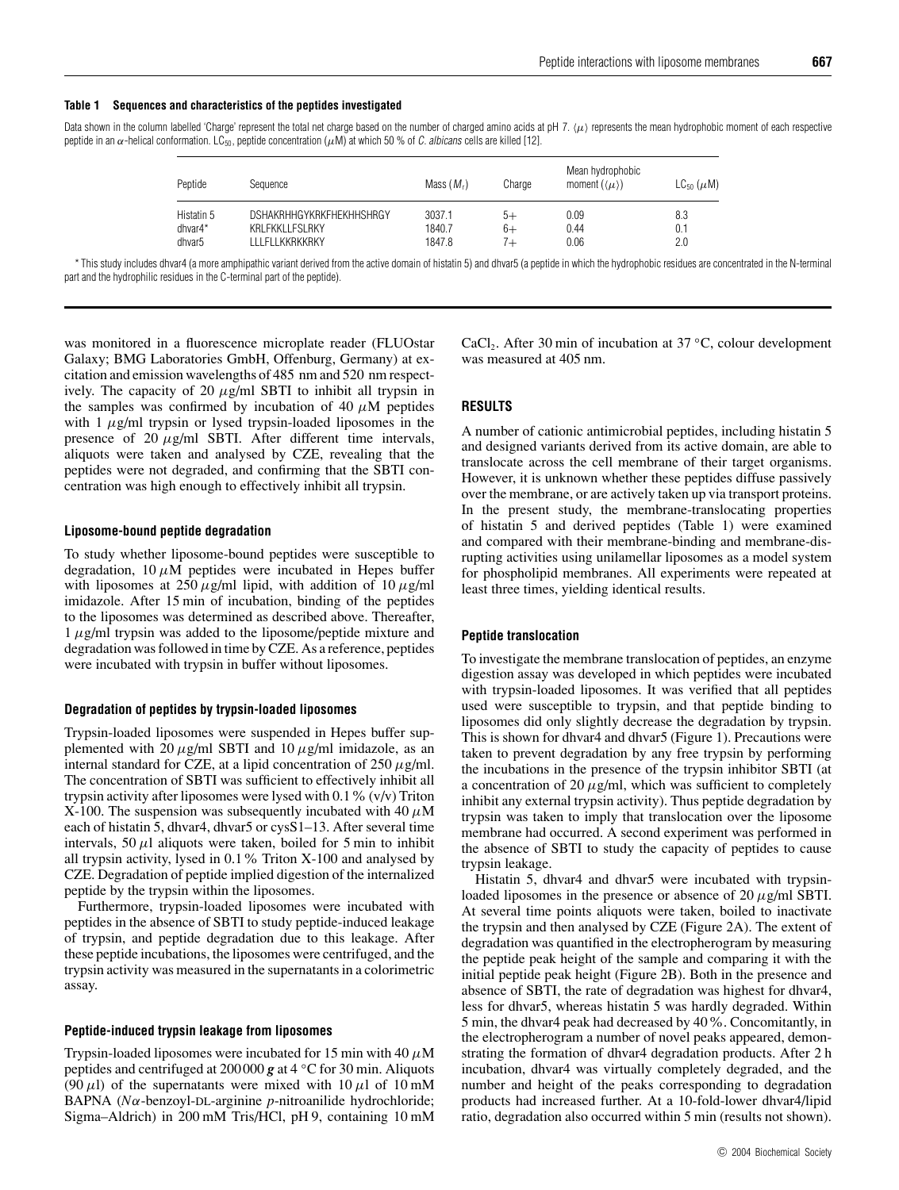#### **Table 1 Sequences and characteristics of the peptides investigated**

Data shown in the column labelled 'Charge' represent the total net charge based on the number of charged amino acids at pH 7.  $\langle \mu \rangle$  represents the mean hydrophobic moment of each respective peptide in an  $\alpha$ -helical conformation. LC<sub>50</sub>, peptide concentration ( $\mu$ M) at which 50 % of *C. albicans* cells are killed [12].

| Peptide            | Sequence                        | Mass $(Mr)$ | Charge | Mean hydrophobic<br>moment $(\langle \mu \rangle)$ | $LC_{50}$ ( $\mu$ M) |
|--------------------|---------------------------------|-------------|--------|----------------------------------------------------|----------------------|
| Histatin 5         | <b>DSHAKRHHGYKRKFHEKHHSHRGY</b> | 3037.1      | 5+     | 0.09                                               | 8.3                  |
| dhvar4*            | KRLFKKLLFSLRKY                  | 1840.7      | 6+     | 0.44                                               | 0.1                  |
| dhvar <sub>5</sub> | I I I FI I KKRKKRKY             | 1847.8      | $7+$   | 0.06                                               | 2.0                  |

\* This study includes dhvar4 (a more amphipathic variant derived from the active domain of histatin 5) and dhvar5 (a peptide in which the hydrophobic residues are concentrated in the N-terminal part and the hydrophilic residues in the C-terminal part of the peptide).

was monitored in a fluorescence microplate reader (FLUOstar Galaxy; BMG Laboratories GmbH, Offenburg, Germany) at excitation and emission wavelengths of 485 nm and 520 nm respectively. The capacity of 20 *µ*g/ml SBTI to inhibit all trypsin in the samples was confirmed by incubation of 40  $\mu$ M peptides with 1 *µ*g/ml trypsin or lysed trypsin-loaded liposomes in the presence of 20  $\mu$ g/ml SBTI. After different time intervals, aliquots were taken and analysed by CZE, revealing that the peptides were not degraded, and confirming that the SBTI concentration was high enough to effectively inhibit all trypsin.

# **Liposome-bound peptide degradation**

To study whether liposome-bound peptides were susceptible to degradation,  $10 \mu M$  peptides were incubated in Hepes buffer with liposomes at  $250 \mu g/ml$  lipid, with addition of  $10 \mu g/ml$ imidazole. After 15 min of incubation, binding of the peptides to the liposomes was determined as described above. Thereafter, 1 *µ*g/ml trypsin was added to the liposome/peptide mixture and degradation was followed in time by CZE. As a reference, peptides were incubated with trypsin in buffer without liposomes.

# **Degradation of peptides by trypsin-loaded liposomes**

Trypsin-loaded liposomes were suspended in Hepes buffer supplemented with 20  $\mu$ g/ml SBTI and 10  $\mu$ g/ml imidazole, as an internal standard for CZE, at a lipid concentration of 250 *µ*g/ml. The concentration of SBTI was sufficient to effectively inhibit all trypsin activity after liposomes were lysed with 0.1% (v/v) Triton X-100. The suspension was subsequently incubated with 40  $\mu$ M each of histatin 5, dhvar4, dhvar5 or cysS1-13. After several time intervals,  $50 \mu l$  aliquots were taken, boiled for 5 min to inhibit all trypsin activity, lysed in 0.1% Triton X-100 and analysed by CZE. Degradation of peptide implied digestion of the internalized peptide by the trypsin within the liposomes.

Furthermore, trypsin-loaded liposomes were incubated with peptides in the absence of SBTI to study peptide-induced leakage of trypsin, and peptide degradation due to this leakage. After these peptide incubations, the liposomes were centrifuged, and the trypsin activity was measured in the supernatants in a colorimetric assay.

#### **Peptide-induced trypsin leakage from liposomes**

Trypsin-loaded liposomes were incubated for 15 min with 40 *µ*M peptides and centrifuged at 200000 *g* at 4 *◦*C for 30 min. Aliquots (90  $\mu$ l) of the supernatants were mixed with 10  $\mu$ l of 10 mM BAPNA (*Nα*-benzoyl-DL-arginine *p*-nitroanilide hydrochloride; Sigma–Aldrich) in 200 mM Tris/HCl, pH 9, containing 10 mM CaCl2. After 30 min of incubation at 37 *◦*C, colour development was measured at 405 nm.

# **RESULTS**

A number of cationic antimicrobial peptides, including histatin 5 and designed variants derived from its active domain, are able to translocate across the cell membrane of their target organisms. However, it is unknown whether these peptides diffuse passively over the membrane, or are actively taken up via transport proteins. In the present study, the membrane-translocating properties of histatin 5 and derived peptides (Table 1) were examined and compared with their membrane-binding and membrane-disrupting activities using unilamellar liposomes as a model system for phospholipid membranes. All experiments were repeated at least three times, yielding identical results.

#### **Peptide translocation**

To investigate the membrane translocation of peptides, an enzyme digestion assay was developed in which peptides were incubated with trypsin-loaded liposomes. It was verified that all peptides used were susceptible to trypsin, and that peptide binding to liposomes did only slightly decrease the degradation by trypsin. This is shown for dhvar4 and dhvar5 (Figure 1). Precautions were taken to prevent degradation by any free trypsin by performing the incubations in the presence of the trypsin inhibitor SBTI (at a concentration of 20  $\mu$ g/ml, which was sufficient to completely inhibit any external trypsin activity). Thus peptide degradation by trypsin was taken to imply that translocation over the liposome membrane had occurred. A second experiment was performed in the absence of SBTI to study the capacity of peptides to cause trypsin leakage.

Histatin 5, dhvar4 and dhvar5 were incubated with trypsinloaded liposomes in the presence or absence of 20 *µ*g/ml SBTI. At several time points aliquots were taken, boiled to inactivate the trypsin and then analysed by CZE (Figure 2A). The extent of degradation was quantified in the electropherogram by measuring the peptide peak height of the sample and comparing it with the initial peptide peak height (Figure 2B). Both in the presence and absence of SBTI, the rate of degradation was highest for dhvar4, less for dhvar5, whereas histatin 5 was hardly degraded. Within 5 min, the dhvar4 peak had decreased by 40%. Concomitantly, in the electropherogram a number of novel peaks appeared, demonstrating the formation of dhvar4 degradation products. After 2 h incubation, dhvar4 was virtually completely degraded, and the number and height of the peaks corresponding to degradation products had increased further. At a 10-fold-lower dhvar4/lipid ratio, degradation also occurred within 5 min (results not shown).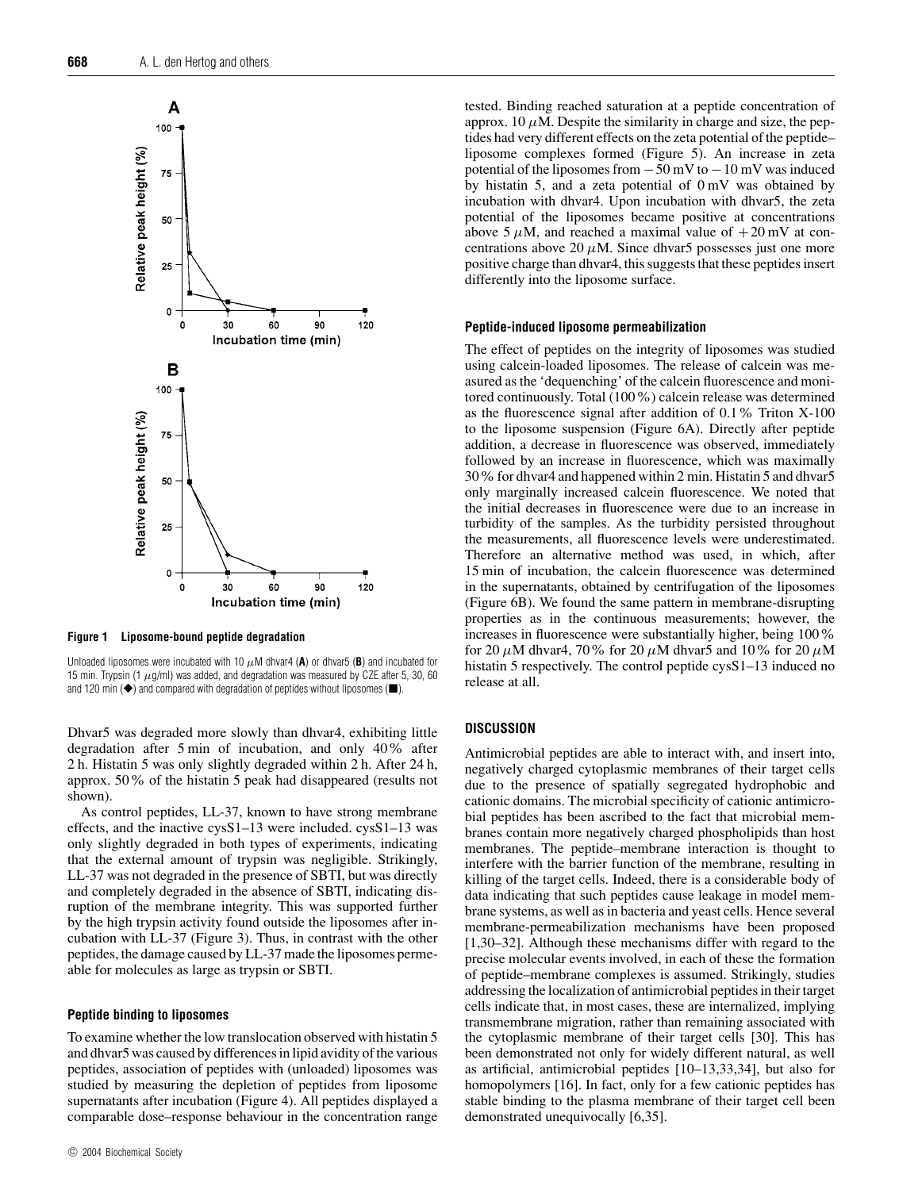

**Figure 1 Liposome-bound peptide degradation**

Unloaded liposomes were incubated with 10  $\mu$ M dhvar4 (A) or dhvar5 (B) and incubated for 15 min. Trypsin (1  $\mu$ g/ml) was added, and degradation was measured by CZE after 5, 30, 60 and 120 min  $(\blacklozenge)$  and compared with degradation of peptides without liposomes ( $\blacksquare$ ).

Dhvar5 was degraded more slowly than dhvar4, exhibiting little degradation after 5 min of incubation, and only 40% after 2 h. Histatin 5 was only slightly degraded within 2 h. After 24 h, approx. 50% of the histatin 5 peak had disappeared (results not shown).

As control peptides, LL-37, known to have strong membrane effects, and the inactive cysS1–13 were included. cysS1–13 was only slightly degraded in both types of experiments, indicating that the external amount of trypsin was negligible. Strikingly, LL-37 was not degraded in the presence of SBTI, but was directly and completely degraded in the absence of SBTI, indicating disruption of the membrane integrity. This was supported further by the high trypsin activity found outside the liposomes after incubation with LL-37 (Figure 3). Thus, in contrast with the other peptides, the damage caused by LL-37 made the liposomes permeable for molecules as large as trypsin or SBTI.

## **Peptide binding to liposomes**

To examine whether the low translocation observed with histatin 5 and dhvar5 was caused by differences in lipid avidity of the various peptides, association of peptides with (unloaded) liposomes was studied by measuring the depletion of peptides from liposome supernatants after incubation (Figure 4). All peptides displayed a comparable dose–response behaviour in the concentration range

tested. Binding reached saturation at a peptide concentration of approx. 10  $\mu$ M. Despite the similarity in charge and size, the peptides had very different effects on the zeta potential of the peptide– liposome complexes formed (Figure 5). An increase in zeta potential of the liposomes from  $-50$  mV to  $-10$  mV was induced by histatin 5, and a zeta potential of 0 mV was obtained by incubation with dhvar4. Upon incubation with dhvar5, the zeta potential of the liposomes became positive at concentrations above 5  $\mu$ M, and reached a maximal value of  $+20$  mV at concentrations above 20  $\mu$ M. Since dhvar5 possesses just one more positive charge than dhvar4, this suggests that these peptides insert differently into the liposome surface.

#### **Peptide-induced liposome permeabilization**

The effect of peptides on the integrity of liposomes was studied using calcein-loaded liposomes. The release of calcein was measured as the 'dequenching' of the calcein fluorescence and monitored continuously. Total (100%) calcein release was determined as the fluorescence signal after addition of 0.1% Triton X-100 to the liposome suspension (Figure 6A). Directly after peptide addition, a decrease in fluorescence was observed, immediately followed by an increase in fluorescence, which was maximally 30% for dhvar4 and happened within 2 min. Histatin 5 and dhvar5 only marginally increased calcein fluorescence. We noted that the initial decreases in fluorescence were due to an increase in turbidity of the samples. As the turbidity persisted throughout the measurements, all fluorescence levels were underestimated. Therefore an alternative method was used, in which, after 15 min of incubation, the calcein fluorescence was determined in the supernatants, obtained by centrifugation of the liposomes (Figure 6B). We found the same pattern in membrane-disrupting properties as in the continuous measurements; however, the increases in fluorescence were substantially higher, being 100% for 20  $\mu$ M dhvar4, 70% for 20  $\mu$ M dhvar5 and 10% for 20  $\mu$ M histatin 5 respectively. The control peptide cysS1–13 induced no release at all.

#### **DISCUSSION**

Antimicrobial peptides are able to interact with, and insert into, negatively charged cytoplasmic membranes of their target cells due to the presence of spatially segregated hydrophobic and cationic domains. The microbial specificity of cationic antimicrobial peptides has been ascribed to the fact that microbial membranes contain more negatively charged phospholipids than host membranes. The peptide–membrane interaction is thought to interfere with the barrier function of the membrane, resulting in killing of the target cells. Indeed, there is a considerable body of data indicating that such peptides cause leakage in model membrane systems, as well as in bacteria and yeast cells. Hence several membrane-permeabilization mechanisms have been proposed [1,30–32]. Although these mechanisms differ with regard to the precise molecular events involved, in each of these the formation of peptide–membrane complexes is assumed. Strikingly, studies addressing the localization of antimicrobial peptides in their target cells indicate that, in most cases, these are internalized, implying transmembrane migration, rather than remaining associated with the cytoplasmic membrane of their target cells [30]. This has been demonstrated not only for widely different natural, as well as artificial, antimicrobial peptides [10–13,33,34], but also for homopolymers [16]. In fact, only for a few cationic peptides has stable binding to the plasma membrane of their target cell been demonstrated unequivocally [6,35].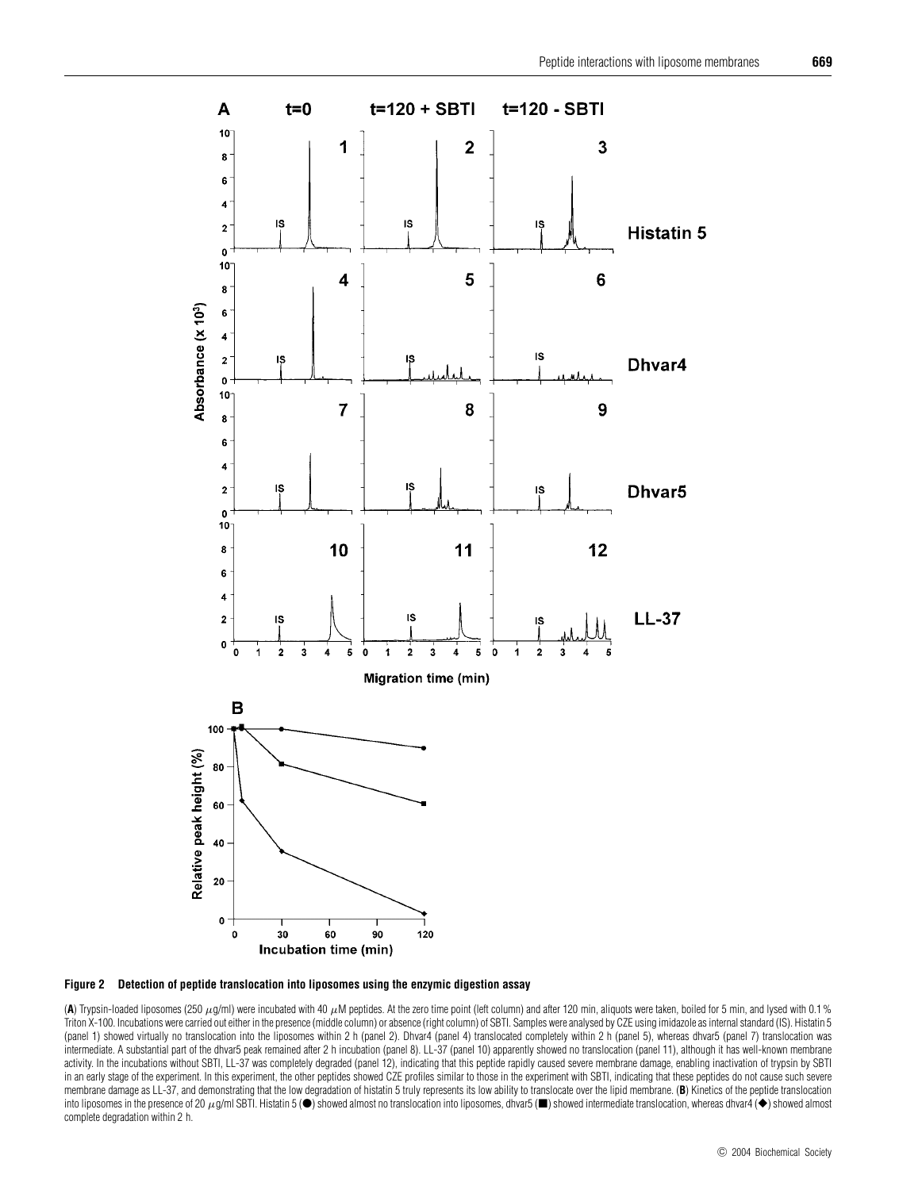



(A) Trypsin-loaded liposomes (250  $\mu$ g/ml) were incubated with 40  $\mu$ M peptides. At the zero time point (left column) and after 120 min, aliquots were taken, boiled for 5 min, and lysed with 0.1% Triton X-100. Incubations were carried out either in the presence (middle column) or absence (right column) of SBTI. Samples were analysed by CZE using imidazole as internal standard (IS). Histatin 5 (panel 1) showed virtually no translocation into the liposomes within 2 h (panel 2). Dhvar4 (panel 4) translocated completely within 2 h (panel 5), whereas dhvar5 (panel 7) translocation was intermediate. A substantial part of the dhvar5 peak remained after 2 h incubation (panel 8). LL-37 (panel 10) apparently showed no translocation (panel 11), although it has well-known membrane activity. In the incubations without SBTI, LL-37 was completely degraded (panel 12), indicating that this peptide rapidly caused severe membrane damage, enabling inactivation of trypsin by SBTI in an early stage of the experiment. In this experiment, the other peptides showed CZE profiles similar to those in the experiment with SBTI, indicating that these peptides do not cause such severe membrane damage as LL-37, and demonstrating that the low degradation of histatin 5 truly represents its low ability to translocate over the lipid membrane. (**B**) Kinetics of the peptide translocation into liposomes in the presence of 20  $\mu$ g/ml SBTI. Histatin 5 ( $\bullet$ ) showed almost no translocation into liposomes, dhvar5 ( $\blacksquare$ ) showed intermediate translocation, whereas dhvar4 ( $\blacklozenge$ ) showed almost complete degradation within 2 h.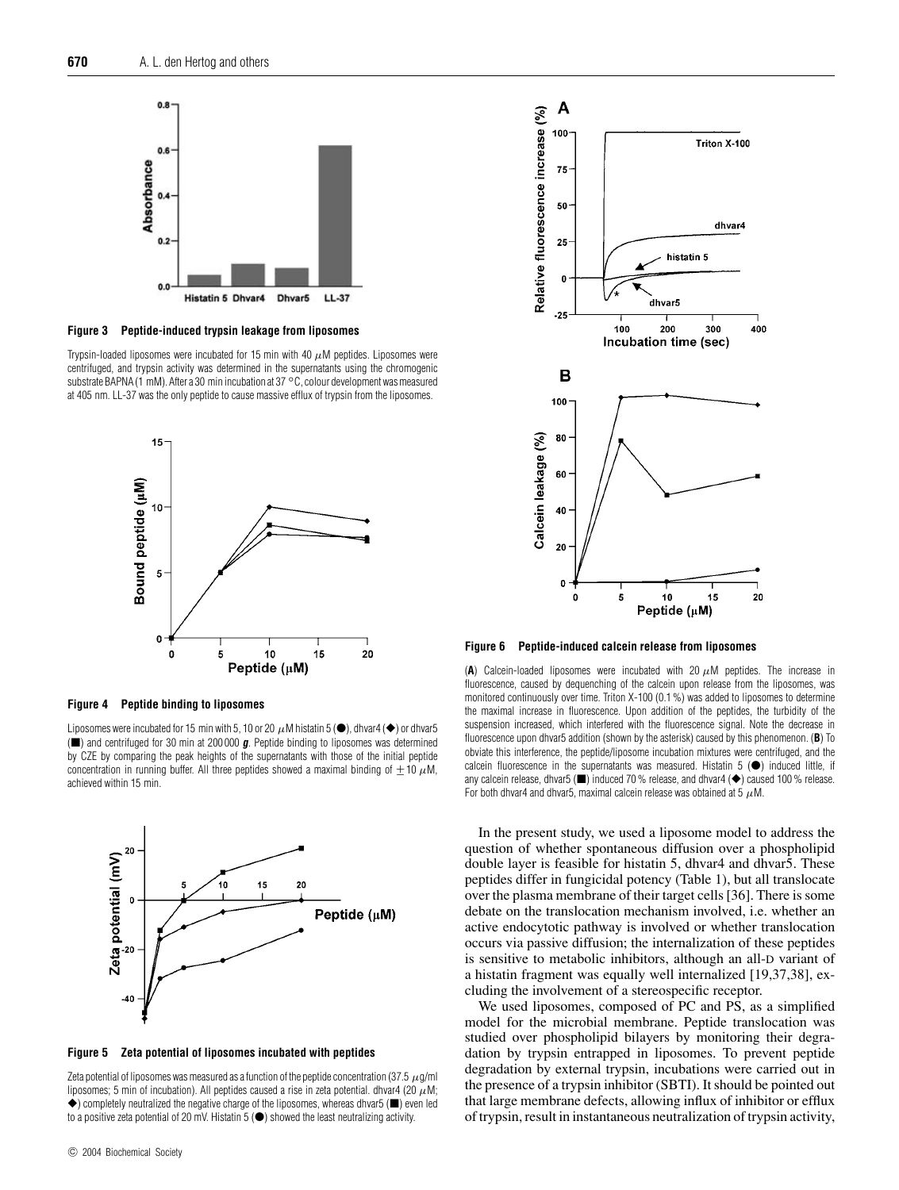

**Figure 3 Peptide-induced trypsin leakage from liposomes**

Trypsin-loaded liposomes were incubated for 15 min with 40  $\mu$ M peptides. Liposomes were centrifuged, and trypsin activity was determined in the supernatants using the chromogenic substrate BAPNA (1 mM). After a 30 min incubation at 37 *◦*C, colour development was measured at 405 nm. LL-37 was the only peptide to cause massive efflux of trypsin from the liposomes.



#### **Figure 4 Peptide binding to liposomes**

Liposomes were incubated for 15 min with 5, 10 or 20  $\mu$ M histatin 5 ( $\bullet$ ), dhvar4 ( $\bullet$ ) or dhvar5 (-) and centrifuged for 30 min at 200 000 **g**. Peptide binding to liposomes was determined by CZE by comparing the peak heights of the supernatants with those of the initial peptide concentration in running buffer. All three peptides showed a maximal binding of  $+10 \mu M$ , achieved within 15 min.



**Figure 5 Zeta potential of liposomes incubated with peptides**

Zeta potential of liposomes was measured as a function of the peptide concentration (37.5  $\mu$ g/ml liposomes; 5 min of incubation). All peptides caused a rise in zeta potential. dhvar4 (20  $\mu$ M;  $\blacklozenge$ ) completely neutralized the negative charge of the liposomes, whereas dhvar5 ( $\blacksquare$ ) even led to a positive zeta potential of 20 mV. Histatin 5  $\textcircled{\bullet}$  showed the least neutralizing activity.



**Figure 6 Peptide-induced calcein release from liposomes**

(A) Calcein-loaded liposomes were incubated with 20  $\mu$ M peptides. The increase in fluorescence, caused by dequenching of the calcein upon release from the liposomes, was monitored continuously over time. Triton X-100 (0.1 %) was added to liposomes to determine the maximal increase in fluorescence. Upon addition of the peptides, the turbidity of the suspension increased, which interfered with the fluorescence signal. Note the decrease in fluorescence upon dhvar5 addition (shown by the asterisk) caused by this phenomenon. (**B**) To obviate this interference, the peptide/liposome incubation mixtures were centrifuged, and the calcein fluorescence in the supernatants was measured. Histatin  $5$   $($   $)$  induced little, if any calcein release, dhvar5 ( $\blacksquare$ ) induced 70 % release, and dhvar4 ( $\blacklozenge$ ) caused 100 % release. For both dhvar4 and dhvar5, maximal calcein release was obtained at 5  $\mu$ M.

In the present study, we used a liposome model to address the question of whether spontaneous diffusion over a phospholipid double layer is feasible for histatin 5, dhvar4 and dhvar5. These peptides differ in fungicidal potency (Table 1), but all translocate over the plasma membrane of their target cells [36]. There is some debate on the translocation mechanism involved, i.e. whether an active endocytotic pathway is involved or whether translocation occurs via passive diffusion; the internalization of these peptides is sensitive to metabolic inhibitors, although an all-D variant of a histatin fragment was equally well internalized [19,37,38], excluding the involvement of a stereospecific receptor.

We used liposomes, composed of PC and PS, as a simplified model for the microbial membrane. Peptide translocation was studied over phospholipid bilayers by monitoring their degradation by trypsin entrapped in liposomes. To prevent peptide degradation by external trypsin, incubations were carried out in the presence of a trypsin inhibitor (SBTI). It should be pointed out that large membrane defects, allowing influx of inhibitor or efflux of trypsin, result in instantaneous neutralization of trypsin activity,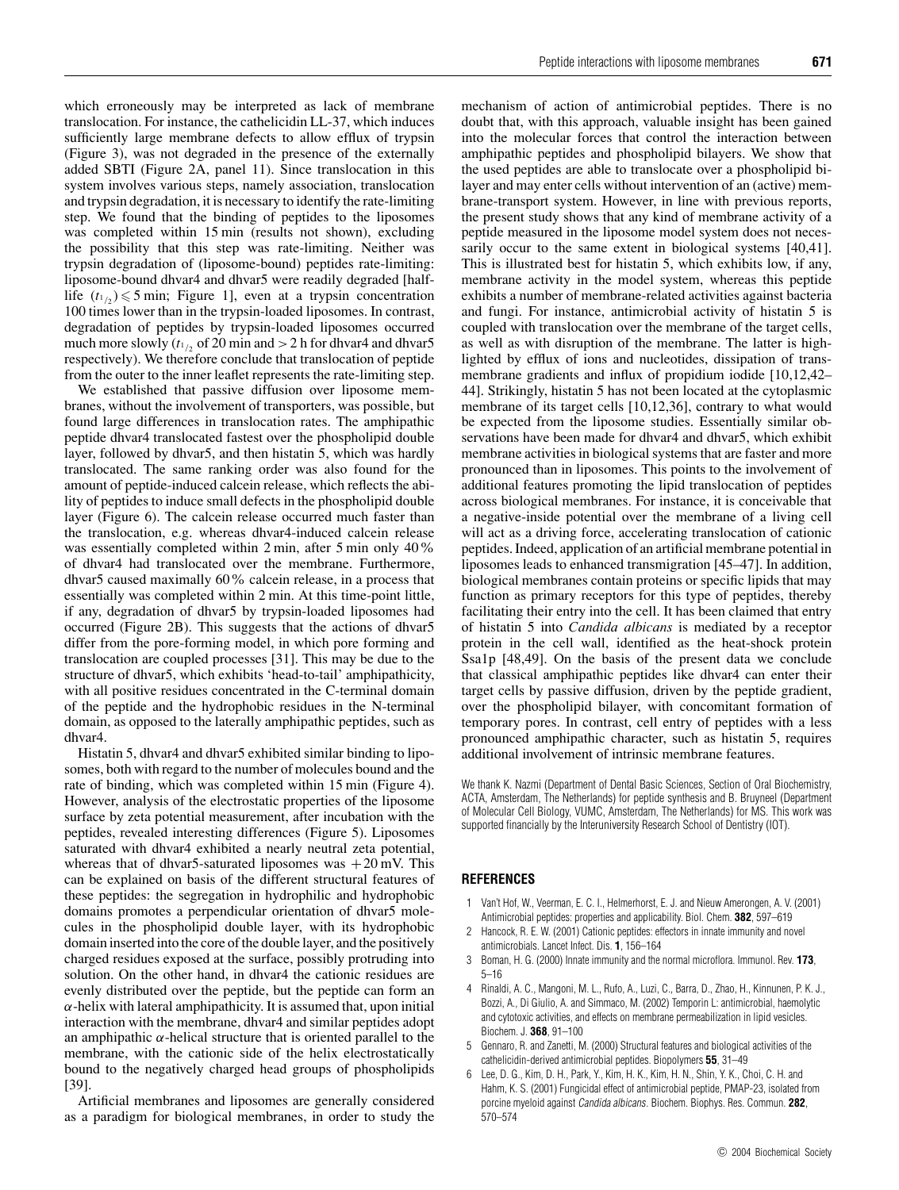which erroneously may be interpreted as lack of membrane translocation. For instance, the cathelicidin LL-37, which induces sufficiently large membrane defects to allow efflux of trypsin (Figure 3), was not degraded in the presence of the externally added SBTI (Figure 2A, panel 11). Since translocation in this system involves various steps, namely association, translocation and trypsin degradation, it is necessary to identify the rate-limiting step. We found that the binding of peptides to the liposomes was completed within 15 min (results not shown), excluding the possibility that this step was rate-limiting. Neither was trypsin degradation of (liposome-bound) peptides rate-limiting: liposome-bound dhvar4 and dhvar5 were readily degraded [halflife  $(t_1) \leq 5$  min; Figure 1], even at a trypsin concentration 100 times lower than in the trypsin-loaded liposomes. In contrast, degradation of peptides by trypsin-loaded liposomes occurred much more slowly ( $t_{1/2}$  of 20 min and  $>$  2 h for dhvar4 and dhvar5 respectively). We therefore conclude that translocation of peptide from the outer to the inner leaflet represents the rate-limiting step.

We established that passive diffusion over liposome membranes, without the involvement of transporters, was possible, but found large differences in translocation rates. The amphipathic peptide dhvar4 translocated fastest over the phospholipid double layer, followed by dhvar5, and then histatin 5, which was hardly translocated. The same ranking order was also found for the amount of peptide-induced calcein release, which reflects the ability of peptides to induce small defects in the phospholipid double layer (Figure 6). The calcein release occurred much faster than the translocation, e.g. whereas dhvar4-induced calcein release was essentially completed within 2 min, after 5 min only 40% of dhvar4 had translocated over the membrane. Furthermore, dhvar5 caused maximally 60% calcein release, in a process that essentially was completed within 2 min. At this time-point little, if any, degradation of dhvar5 by trypsin-loaded liposomes had occurred (Figure 2B). This suggests that the actions of dhvar5 differ from the pore-forming model, in which pore forming and translocation are coupled processes [31]. This may be due to the structure of dhvar5, which exhibits 'head-to-tail' amphipathicity, with all positive residues concentrated in the C-terminal domain of the peptide and the hydrophobic residues in the N-terminal domain, as opposed to the laterally amphipathic peptides, such as dhvar4.

Histatin 5, dhvar4 and dhvar5 exhibited similar binding to liposomes, both with regard to the number of molecules bound and the rate of binding, which was completed within 15 min (Figure 4). However, analysis of the electrostatic properties of the liposome surface by zeta potential measurement, after incubation with the peptides, revealed interesting differences (Figure 5). Liposomes saturated with dhvar4 exhibited a nearly neutral zeta potential, whereas that of dhvar5-saturated liposomes was  $+20$  mV. This can be explained on basis of the different structural features of these peptides: the segregation in hydrophilic and hydrophobic domains promotes a perpendicular orientation of dhvar5 molecules in the phospholipid double layer, with its hydrophobic domain inserted into the core of the double layer, and the positively charged residues exposed at the surface, possibly protruding into solution. On the other hand, in dhvar4 the cationic residues are evenly distributed over the peptide, but the peptide can form an *α*-helix with lateral amphipathicity. It is assumed that, upon initial interaction with the membrane, dhvar4 and similar peptides adopt an amphipathic  $\alpha$ -helical structure that is oriented parallel to the membrane, with the cationic side of the helix electrostatically bound to the negatively charged head groups of phospholipids [39].

Artificial membranes and liposomes are generally considered as a paradigm for biological membranes, in order to study the mechanism of action of antimicrobial peptides. There is no doubt that, with this approach, valuable insight has been gained into the molecular forces that control the interaction between amphipathic peptides and phospholipid bilayers. We show that the used peptides are able to translocate over a phospholipid bilayer and may enter cells without intervention of an (active) membrane-transport system. However, in line with previous reports, the present study shows that any kind of membrane activity of a peptide measured in the liposome model system does not necessarily occur to the same extent in biological systems [40,41]. This is illustrated best for histatin 5, which exhibits low, if any, membrane activity in the model system, whereas this peptide exhibits a number of membrane-related activities against bacteria and fungi. For instance, antimicrobial activity of histatin 5 is coupled with translocation over the membrane of the target cells, as well as with disruption of the membrane. The latter is highlighted by efflux of ions and nucleotides, dissipation of transmembrane gradients and influx of propidium iodide [10,12,42– 44]. Strikingly, histatin 5 has not been located at the cytoplasmic membrane of its target cells [10,12,36], contrary to what would be expected from the liposome studies. Essentially similar observations have been made for dhvar4 and dhvar5, which exhibit membrane activities in biological systems that are faster and more pronounced than in liposomes. This points to the involvement of additional features promoting the lipid translocation of peptides across biological membranes. For instance, it is conceivable that a negative-inside potential over the membrane of a living cell will act as a driving force, accelerating translocation of cationic peptides. Indeed, application of an artificial membrane potential in liposomes leads to enhanced transmigration [45–47]. In addition, biological membranes contain proteins or specific lipids that may function as primary receptors for this type of peptides, thereby facilitating their entry into the cell. It has been claimed that entry of histatin 5 into *Candida albicans* is mediated by a receptor protein in the cell wall, identified as the heat-shock protein Ssa1p [48,49]. On the basis of the present data we conclude that classical amphipathic peptides like dhvar4 can enter their target cells by passive diffusion, driven by the peptide gradient, over the phospholipid bilayer, with concomitant formation of temporary pores. In contrast, cell entry of peptides with a less pronounced amphipathic character, such as histatin 5, requires additional involvement of intrinsic membrane features.

We thank K. Nazmi (Department of Dental Basic Sciences, Section of Oral Biochemistry, ACTA, Amsterdam, The Netherlands) for peptide synthesis and B. Bruyneel (Department of Molecular Cell Biology, VUMC, Amsterdam, The Netherlands) for MS. This work was supported financially by the Interuniversity Research School of Dentistry (IOT).

#### **REFERENCES**

- 1 Van't Hof, W., Veerman, E. C. I., Helmerhorst, E. J. and Nieuw Amerongen, A. V. (2001) Antimicrobial peptides: properties and applicability. Biol. Chem. **382**, 597–619
- 2 Hancock, R. E. W. (2001) Cationic peptides: effectors in innate immunity and novel antimicrobials. Lancet Infect. Dis. **1**, 156–164
- 3 Boman, H. G. (2000) Innate immunity and the normal microflora. Immunol. Rev. **173**, 5–16
- 4 Rinaldi, A. C., Mangoni, M. L., Rufo, A., Luzi, C., Barra, D., Zhao, H., Kinnunen, P. K. J., Bozzi, A., Di Giulio, A. and Simmaco, M. (2002) Temporin L: antimicrobial, haemolytic and cytotoxic activities, and effects on membrane permeabilization in lipid vesicles. Biochem. J. **368**, 91–100
- 5 Gennaro, R. and Zanetti, M. (2000) Structural features and biological activities of the cathelicidin-derived antimicrobial peptides. Biopolymers **55**, 31–49
- 6 Lee, D. G., Kim, D. H., Park, Y., Kim, H. K., Kim, H. N., Shin, Y. K., Choi, C. H. and Hahm, K. S. (2001) Fungicidal effect of antimicrobial peptide, PMAP-23, isolated from porcine myeloid against Candida albicans. Biochem. Biophys. Res. Commun. **282**, 570–574